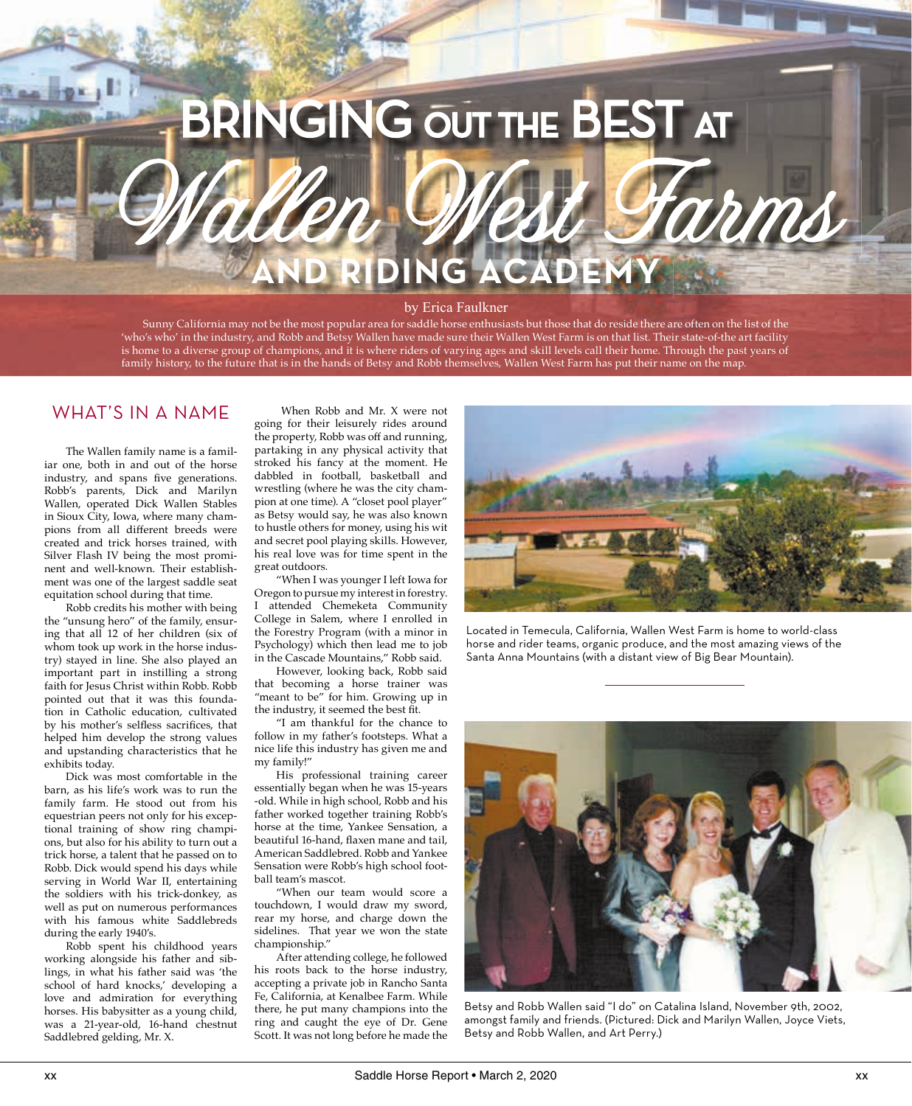# BRINGING OUT THE BEST AT

#### by Erica Faulkner

**ING ACAD** 

Wallen West Farms

 Sunny California may not be the most popular area for saddle horse enthusiasts but those that do reside there are often on the list of the 'who's who' in the industry, and Robb and Betsy Wallen have made sure their Wallen West Farm is on that list. Their state-of-the art facility is home to a diverse group of champions, and it is where riders of varying ages and skill levels call their home. Through the past years of family history, to the future that is in the hands of Betsy and Robb themselves, Wallen West Farm has put their name on the map.

### WHAT'S IN A NAME

 The Wallen family name is a familiar one, both in and out of the horse industry, and spans five generations. Robb's parents, Dick and Marilyn Wallen, operated Dick Wallen Stables in Sioux City, Iowa, where many champions from all different breeds were created and trick horses trained, with Silver Flash IV being the most prominent and well-known. Their establishment was one of the largest saddle seat equitation school during that time.

 Robb credits his mother with being the "unsung hero" of the family, ensuring that all 12 of her children (six of whom took up work in the horse industry) stayed in line. She also played an important part in instilling a strong faith for Jesus Christ within Robb. Robb pointed out that it was this foundation in Catholic education, cultivated by his mother's selfless sacrifices, that helped him develop the strong values and upstanding characteristics that he exhibits today.

 Dick was most comfortable in the barn, as his life's work was to run the family farm. He stood out from his equestrian peers not only for his exceptional training of show ring champions, but also for his ability to turn out a trick horse, a talent that he passed on to Robb. Dick would spend his days while serving in World War II, entertaining the soldiers with his trick-donkey, as well as put on numerous performances with his famous white Saddlebreds during the early 1940's.

 Robb spent his childhood years working alongside his father and siblings, in what his father said was 'the school of hard knocks,' developing a love and admiration for everything horses. His babysitter as a young child, was a 21-year-old, 16-hand chestnut Saddlebred gelding, Mr. X.

 When Robb and Mr. X were not going for their leisurely rides around the property, Robb was off and running, partaking in any physical activity that stroked his fancy at the moment. He dabbled in football, basketball and wrestling (where he was the city champion at one time). A "closet pool player" as Betsy would say, he was also known to hustle others for money, using his wit and secret pool playing skills. However, his real love was for time spent in the great outdoors.

 "When I was younger I left Iowa for Oregon to pursue my interest in forestry. I attended Chemeketa Community College in Salem, where I enrolled in the Forestry Program (with a minor in Psychology) which then lead me to job in the Cascade Mountains," Robb said.

 However, looking back, Robb said that becoming a horse trainer was "meant to be" for him. Growing up in the industry, it seemed the best fit.

 "I am thankful for the chance to follow in my father's footsteps. What a nice life this industry has given me and my family!"

 His professional training career essentially began when he was 15-years -old. While in high school, Robb and his father worked together training Robb's horse at the time, Yankee Sensation, a beautiful 16-hand, flaxen mane and tail, American Saddlebred. Robb and Yankee Sensation were Robb's high school football team's mascot.

 "When our team would score a touchdown, I would draw my sword, rear my horse, and charge down the sidelines. That year we won the state championship."

 After attending college, he followed his roots back to the horse industry, accepting a private job in Rancho Santa Fe, California, at Kenalbee Farm. While there, he put many champions into the ring and caught the eye of Dr. Gene Scott. It was not long before he made the



Located in Temecula, California, Wallen West Farm is home to world-class horse and rider teams, organic produce, and the most amazing views of the Santa Anna Mountains (with a distant view of Big Bear Mountain).



Betsy and Robb Wallen said "I do" on Catalina Island, November 9th, 2002, amongst family and friends. (Pictured: Dick and Marilyn Wallen, Joyce Viets, Betsy and Robb Wallen, and Art Perry.)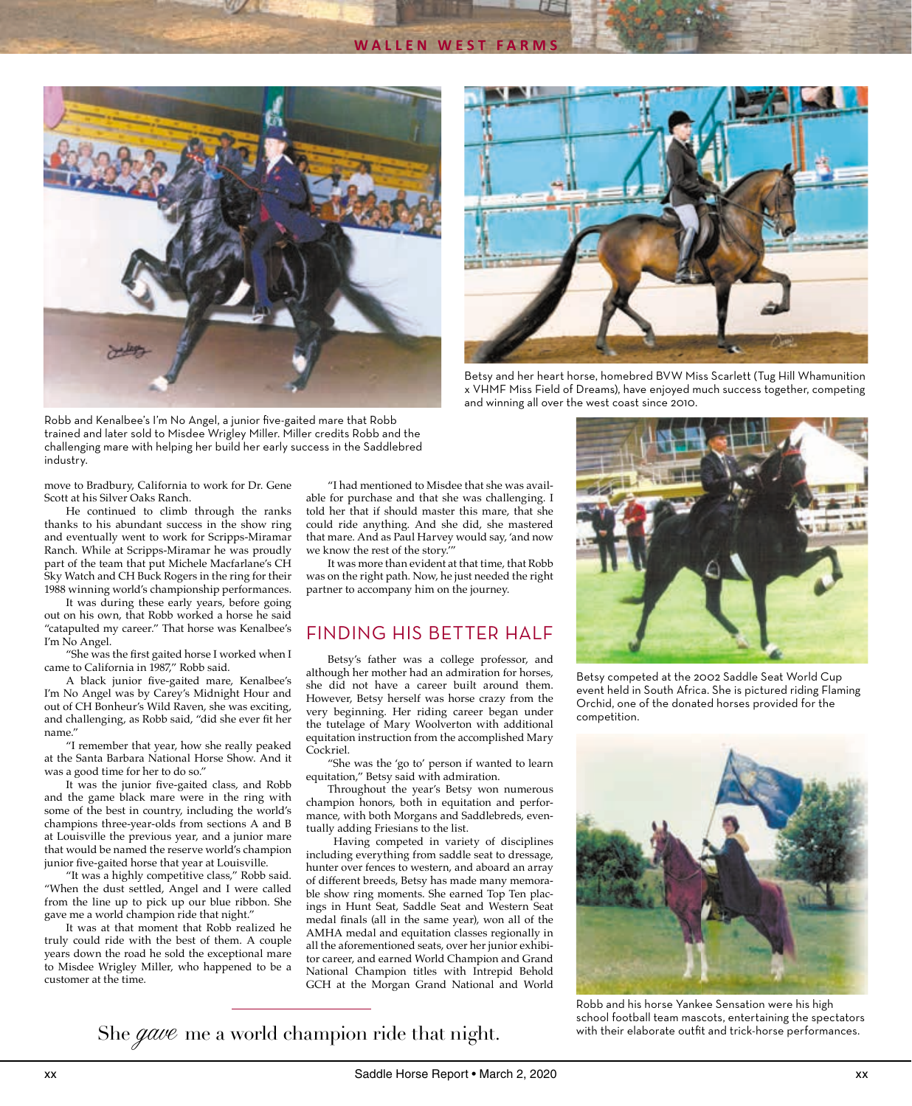



Betsy and her heart horse, homebred BVW Miss Scarlett (Tug Hill Whamunition x VHMF Miss Field of Dreams), have enjoyed much success together, competing and winning all over the west coast since 2010.

Robb and Kenalbee's I'm No Angel, a junior five-gaited mare that Robb trained and later sold to Misdee Wrigley Miller. Miller credits Robb and the challenging mare with helping her build her early success in the Saddlebred industry.

move to Bradbury, California to work for Dr. Gene Scott at his Silver Oaks Ranch.

 He continued to climb through the ranks thanks to his abundant success in the show ring and eventually went to work for Scripps-Miramar Ranch. While at Scripps-Miramar he was proudly part of the team that put Michele Macfarlane's CH Sky Watch and CH Buck Rogers in the ring for their 1988 winning world's championship performances.

 It was during these early years, before going out on his own, that Robb worked a horse he said "catapulted my career." That horse was Kenalbee's I'm No Angel.

"She was the first gaited horse I worked when I came to California in 1987," Robb said.

A black junior five-gaited mare, Kenalbee's I'm No Angel was by Carey's Midnight Hour and out of CH Bonheur's Wild Raven, she was exciting, and challenging, as Robb said, "did she ever fit her name."

 "I remember that year, how she really peaked at the Santa Barbara National Horse Show. And it was a good time for her to do so."

It was the junior five-gaited class, and Robb and the game black mare were in the ring with some of the best in country, including the world's champions three-year-olds from sections A and B at Louisville the previous year, and a junior mare that would be named the reserve world's champion junior five-gaited horse that year at Louisville.

 "It was a highly competitive class," Robb said. "When the dust settled, Angel and I were called from the line up to pick up our blue ribbon. She gave me a world champion ride that night."

 It was at that moment that Robb realized he truly could ride with the best of them. A couple years down the road he sold the exceptional mare to Misdee Wrigley Miller, who happened to be a customer at the time.

 "I had mentioned to Misdee that she was available for purchase and that she was challenging. I told her that if should master this mare, that she could ride anything. And she did, she mastered that mare. And as Paul Harvey would say, 'and now we know the rest of the story.'"

 It was more than evident at that time, that Robb was on the right path. Now, he just needed the right partner to accompany him on the journey.

### FINDING HIS BETTER HALF

 Betsy's father was a college professor, and although her mother had an admiration for horses, she did not have a career built around them. However, Betsy herself was horse crazy from the very beginning. Her riding career began under the tutelage of Mary Woolverton with additional equitation instruction from the accomplished Mary Cockriel.

 "She was the 'go to' person if wanted to learn equitation," Betsy said with admiration.

 Throughout the year's Betsy won numerous champion honors, both in equitation and performance, with both Morgans and Saddlebreds, eventually adding Friesians to the list.

 Having competed in variety of disciplines including everything from saddle seat to dressage, hunter over fences to western, and aboard an array of different breeds, Betsy has made many memorable show ring moments. She earned Top Ten placings in Hunt Seat, Saddle Seat and Western Seat medal finals (all in the same year), won all of the AMHA medal and equitation classes regionally in all the aforementioned seats, over her junior exhibitor career, and earned World Champion and Grand National Champion titles with Intrepid Behold GCH at the Morgan Grand National and World



Betsy competed at the 2002 Saddle Seat World Cup event held in South Africa. She is pictured riding Flaming Orchid, one of the donated horses provided for the competition.



Robb and his horse Yankee Sensation were his high school football team mascots, entertaining the spectators with their elaborate outfit and trick-horse performances.

She gave me a world champion ride that night.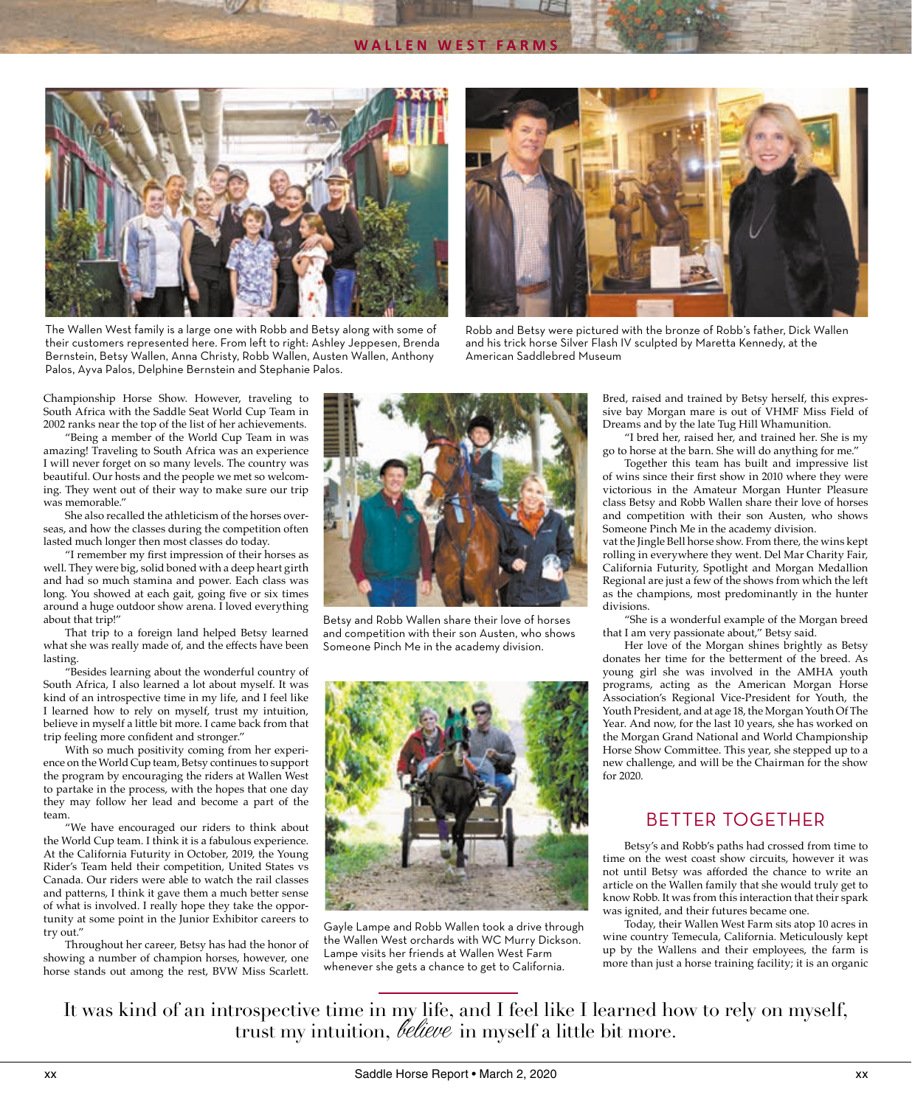

The Wallen West family is a large one with Robb and Betsy along with some of their customers represented here. From left to right: Ashley Jeppesen, Brenda Bernstein, Betsy Wallen, Anna Christy, Robb Wallen, Austen Wallen, Anthony Palos, Ayva Palos, Delphine Bernstein and Stephanie Palos.



Robb and Betsy were pictured with the bronze of Robb's father, Dick Wallen and his trick horse Silver Flash IV sculpted by Maretta Kennedy, at the American Saddlebred Museum

Championship Horse Show. However, traveling to South Africa with the Saddle Seat World Cup Team in 2002 ranks near the top of the list of her achievements.

 "Being a member of the World Cup Team in was amazing! Traveling to South Africa was an experience I will never forget on so many levels. The country was beautiful. Our hosts and the people we met so welcoming. They went out of their way to make sure our trip was memorable<sup>"</sup>

 She also recalled the athleticism of the horses overseas, and how the classes during the competition often lasted much longer then most classes do today.

"I remember my first impression of their horses as well. They were big, solid boned with a deep heart girth and had so much stamina and power. Each class was long. You showed at each gait, going five or six times around a huge outdoor show arena. I loved everything about that trip!"

 That trip to a foreign land helped Betsy learned what she was really made of, and the effects have been lasting.

 "Besides learning about the wonderful country of South Africa, I also learned a lot about myself. It was kind of an introspective time in my life, and I feel like I learned how to rely on myself, trust my intuition, believe in myself a little bit more. I came back from that trip feeling more confident and stronger."

 With so much positivity coming from her experience on the World Cup team, Betsy continues to support the program by encouraging the riders at Wallen West to partake in the process, with the hopes that one day they may follow her lead and become a part of the team.

 "We have encouraged our riders to think about the World Cup team. I think it is a fabulous experience. At the California Futurity in October, 2019, the Young Rider's Team held their competition, United States vs Canada. Our riders were able to watch the rail classes and patterns, I think it gave them a much better sense of what is involved. I really hope they take the opportunity at some point in the Junior Exhibitor careers to try out."

 Throughout her career, Betsy has had the honor of showing a number of champion horses, however, one horse stands out among the rest, BVW Miss Scarlett.



Betsy and Robb Wallen share their love of horses and competition with their son Austen, who shows Someone Pinch Me in the academy division.



Gayle Lampe and Robb Wallen took a drive through the Wallen West orchards with WC Murry Dickson. Lampe visits her friends at Wallen West Farm whenever she gets a chance to get to California.

Bred, raised and trained by Betsy herself, this expressive bay Morgan mare is out of VHMF Miss Field of Dreams and by the late Tug Hill Whamunition.

 "I bred her, raised her, and trained her. She is my go to horse at the barn. She will do anything for me."

 Together this team has built and impressive list of wins since their first show in 2010 where they were victorious in the Amateur Morgan Hunter Pleasure class Betsy and Robb Wallen share their love of horses and competition with their son Austen, who shows Someone Pinch Me in the academy division.

vat the Jingle Bell horse show. From there, the wins kept rolling in everywhere they went. Del Mar Charity Fair, California Futurity, Spotlight and Morgan Medallion Regional are just a few of the shows from which the left as the champions, most predominantly in the hunter divisions.

 "She is a wonderful example of the Morgan breed that I am very passionate about," Betsy said.

 Her love of the Morgan shines brightly as Betsy donates her time for the betterment of the breed. As young girl she was involved in the AMHA youth programs, acting as the American Morgan Horse Association's Regional Vice-President for Youth, the Youth President, and at age 18, the Morgan Youth Of The Year. And now, for the last 10 years, she has worked on the Morgan Grand National and World Championship Horse Show Committee. This year, she stepped up to a new challenge, and will be the Chairman for the show for 2020.

# BETTER TOGETHER

 Betsy's and Robb's paths had crossed from time to time on the west coast show circuits, however it was not until Betsy was afforded the chance to write an article on the Wallen family that she would truly get to know Robb. It was from this interaction that their spark was ignited, and their futures became one.

 Today, their Wallen West Farm sits atop 10 acres in wine country Temecula, California. Meticulously kept up by the Wallens and their employees, the farm is more than just a horse training facility; it is an organic

It was kind of an introspective time in my life, and I feel like I learned how to rely on myself, trust my intuition, *believe* in myself a little bit more.